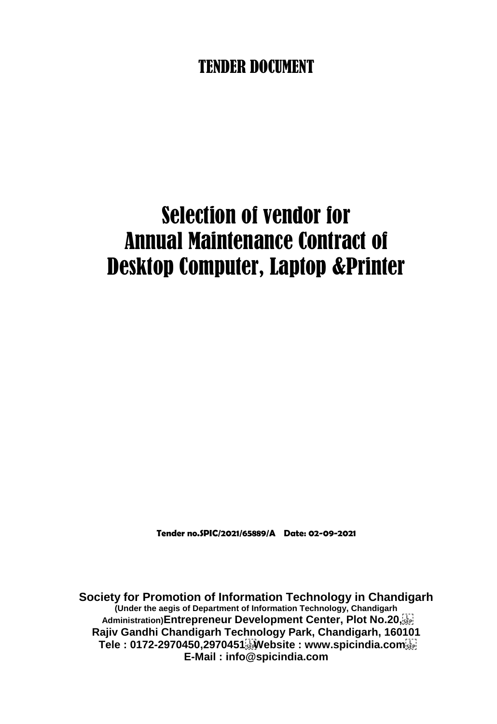# TENDER DOCUMENT

# Selection of vendor for Annual Maintenance Contract of Desktop Computer, Laptop &Printer

**Tender no.SPIC/2021/65889/A Date: 02-09-2021**

**Society for Promotion of Information Technology in Chandigarh (Under the aegis of Department of Information Technology, Chandigarh Administration)Entrepreneur Development Center, Plot No.20, Rajiv Gandhi Chandigarh Technology Park, Chandigarh, 160101 Tele : 0172-2970450,2970451 Website : www.spicindia.com E-Mail : info@spicindia.com**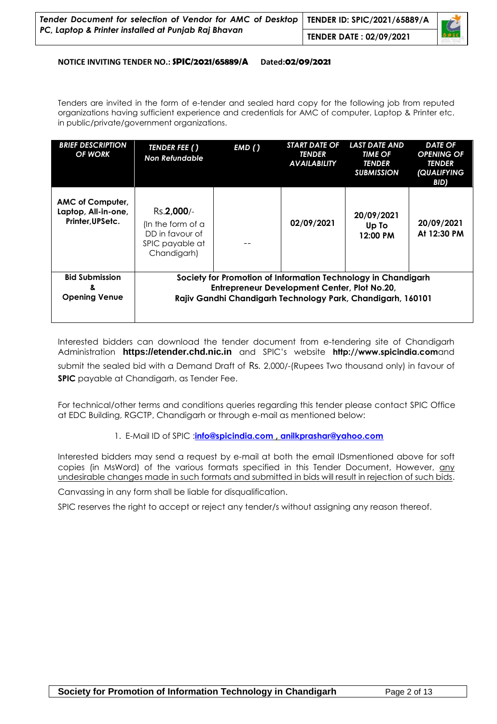| Tender Document for selection of Vendor for AMC of Desktop TENDER ID: SPIC/2021/65889/A<br>PC, Laptop & Printer installed at Punjab Raj Bhavan |                                |  |  |
|------------------------------------------------------------------------------------------------------------------------------------------------|--------------------------------|--|--|
|                                                                                                                                                | <b>TENDER DATE: 02/09/2021</b> |  |  |

#### **NOTICE INVITING TENDER NO.: SPIC/2021/65889/A Dated:02/09/2021**

Tenders are invited in the form of e-tender and sealed hard copy for the following job from reputed organizations having sufficient experience and credentials for AMC of computer, Laptop & Printer etc. in public/private/government organizations.

| <b>BRIEF DESCRIPTION</b><br>OF WORK                        | TENDER FEE ()<br><b>Non Refundable</b>                                               | EMD()                                                                                                                                                                        | <b>START DATE OF</b><br><b>TENDER</b><br><b>AVAILABILITY</b> | <b>LAST DATE AND</b><br><b>TIME OF</b><br><b>TENDER</b><br><b>SUBMISSION</b> | <b>DATE OF</b><br><b>OPENING OF</b><br><b>TENDER</b><br>(QUALIFYING<br>BID) |  |  |  |
|------------------------------------------------------------|--------------------------------------------------------------------------------------|------------------------------------------------------------------------------------------------------------------------------------------------------------------------------|--------------------------------------------------------------|------------------------------------------------------------------------------|-----------------------------------------------------------------------------|--|--|--|
| AMC of Computer,<br>Laptop, All-in-one,<br>Printer.UPSetc. | Rs.2,000/-<br>(In the form of a<br>DD in favour of<br>SPIC payable at<br>Chandigarh) |                                                                                                                                                                              | 02/09/2021                                                   | 20/09/2021<br>Up To<br>12:00 PM                                              | 20/09/2021<br>At 12:30 PM                                                   |  |  |  |
| <b>Bid Submission</b><br>8.<br><b>Opening Venue</b>        |                                                                                      | Society for Promotion of Information Technology in Chandigarh<br>Entrepreneur Development Center, Plot No.20,<br>Rajiv Gandhi Chandigarh Technology Park, Chandigarh, 160101 |                                                              |                                                                              |                                                                             |  |  |  |

Interested bidders can download the tender document from e-tendering site of Chandigarh Administration **[https://etender.chd.nic.in](https://etender.chd.nic.in/)** and SPIC"s website **http:/[/www.spicindia.com](http://www.spicindia.com/)**and submit the sealed bid with a Demand Draft of Rs. 2,000/-(Rupees Two thousand only) in favour of **SPIC** payable at Chandigarh, as Tender Fee.

For technical/other terms and conditions queries regarding this tender please contact SPIC Office at EDC Building, RGCTP, Chandigarh or through e-mail as mentioned below:

1. E-Mail ID of SPIC :**[info@spicindia.com](mailto:info@spicindia.com) , [anilkprashar@yahoo.com](mailto:anilkprashar@yahoo.com)**

Interested bidders may send a request by e-mail at both the email IDsmentioned above for soft copies (in MsWord) of the various formats specified in this Tender Document, However, any undesirable changes made in such formats and submitted in bids will result in rejection of such bids.

Canvassing in any form shall be liable for disqualification.

SPIC reserves the right to accept or reject any tender/s without assigning any reason thereof.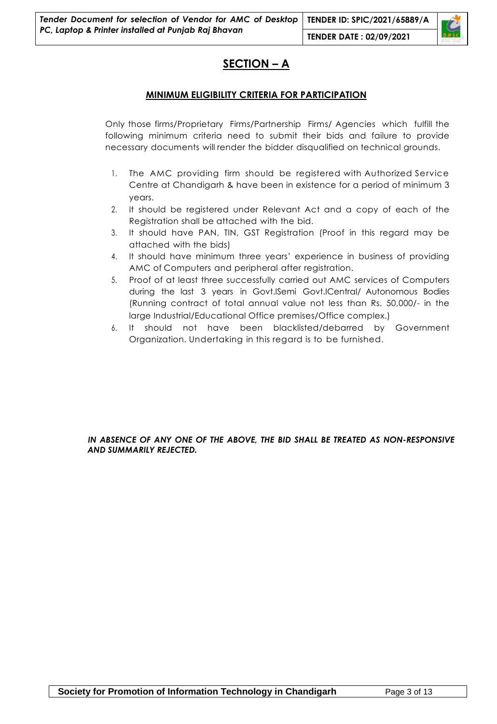### **SECTION – A**

#### **MINIMUM ELIGIBILITY CRITERIA FOR PARTICIPATION**

MINIMUM ELIGIBILITY CRITERIA FOR PARTICIPATION<br>Only those firms/Proprietary Firms/Partnership Firms/ Agencies which fulfill the<br>following minimum criteria need to submit their bids and failure to provide Following minimum criteria need to submit their bids and failure to provide<br>
necessary documents will render the bidder disqualified on technical grounds.<br>
1. The AMC providing firm should be registered with Authorized Ser Only those firms/Proprietary Firms/Partnership Firms/ Agencies which fulfill tl<br>following minimum criteria need to submit their bids and failure to provid<br>necessary documents will render the bidder disqualified on technica

- Sary documents will render the bidder disqualified on technical grounds.<br>The AMC providing firm should be registered with Authorized Service<br>Centre at Chandigarh & have been in existence for a period of minimum 3 years. 2 1. The AMC providing firm should be registered with Authorized Service<br>Centre at Chandigarh & have been in existence for a period of minimum 3<br>years.<br>2. It should be registered under Relevant Act and a copy of each of th Centre at Chandigarh & have been in exist<br>years.<br>It should be registered under Relevant Ad<br>Registration shall be attached with the bid.<br>It should have BAN, TIN, GST Registration
- 2. It should be registered under Relevant Act and a copy of each of the Registration shall be attached with the bid.<br>3. It should have PAN, TIN, GST Registration (Proof in this regard may be attached with the bids) Registration shall be attached with the bid.
- 4. It should have PAN, TIN, GST Registration (Proof in this regard may be attached with the bids)<br>4. It should have minimum three years' experience in business of providing<br>4. It should have minimum three years' experience
- It should have PAN, TIN, GST Registration (Proof in attached with the bids)<br>It should have minimum three years' experience in<br>AMC of Computers and peripheral after registration.<br>Proof of at least three successfully carried 1. It should have minimum three years' experience in business of providing<br>
4. It should have minimum three years' experience in business of providing<br>
4. Proof of at least three successfully carried out AMC services of Co
- during the last 3 years in Govt.ISemi Govt.ICentral/ Autonomous Bodies AMC of Computers and peripheral after registration.<br>Proof of at least three successfully carried out AMC services of Computers<br>during the last 3 years in Govt.ISemi Govt.ICentral/ Autonomous Bodies<br>(Running contract of tot Proof of at least three successfully carried out AMC services<br>during the last 3 years in Govt.ISemi Govt.ICentral/ Auton<br>(Running contract of total annual value not less than Rs. 5<br>large Industrial/Educational Office premi during the last 3 years in Govt.ISemi Govt.ICentral/ Autonomous Bodies<br>(Running contract of total annual value not less than Rs. 50,000/- in the<br>large Industrial/Educational Office premises/Office complex.)<br>6. It should no
- large Industrial/Educational Office premises/Office complex.)<br>It should not have been blacklisted/debarred by Government<br>Organization. Undertaking in this regard is to be furnished.

#### *IN ABSENCE OF ANY ONE OF THE ABOVE, THE BID SHALL BE TREATED AS NON-RESPONSIVE AND SUMMARILY REJECTED.*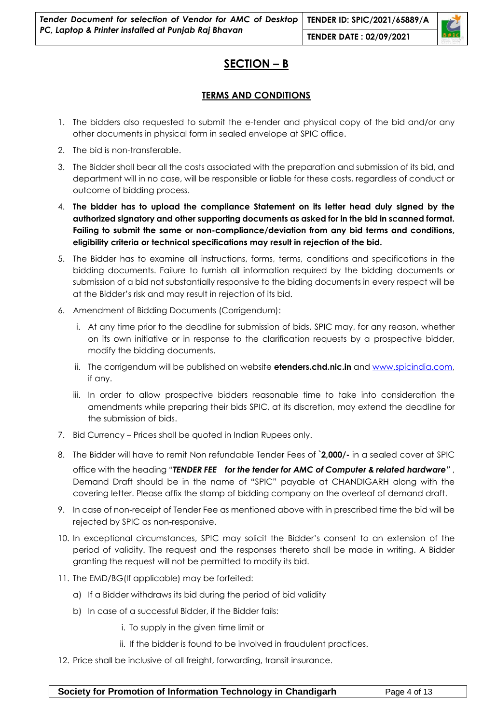

#### **TERMS AND CONDITIONS**

- 1. The bidders also requested to submit the e-tender and physical copy of the bid and/or any other documents in physical form in sealed envelope at SPIC office.
- 2. The bid is non-transferable.
- 3. The Bidder shall bear all the costs associated with the preparation and submission of its bid, and department will in no case, will be responsible or liable for these costs, regardless of conduct or outcome of bidding process.
- 4. **The bidder has to upload the compliance Statement on its letter head duly signed by the authorized signatory and other supporting documents as asked for in the bid in scanned format. Failing to submit the same or non-compliance/deviation from any bid terms and conditions, eligibility criteria or technical specifications may result in rejection of the bid.**
- 5. The Bidder has to examine all instructions, forms, terms, conditions and specifications in the bidding documents. Failure to furnish all information required by the bidding documents or submission of a bid not substantially responsive to the biding documents in every respect will be at the Bidder"s risk and may result in rejection of its bid.
- 6. Amendment of Bidding Documents (Corrigendum):
	- i. At any time prior to the deadline for submission of bids, SPIC may, for any reason, whether on its own initiative or in response to the clarification requests by a prospective bidder, modify the bidding documents.
	- ii. The corrigendum will be published on website **etenders.chd.nic.in** and [www.spicindia.com,](http://www.spicindia.com/) if any.
	- iii. In order to allow prospective bidders reasonable time to take into consideration the amendments while preparing their bids SPIC, at its discretion, may extend the deadline for the submission of bids.
- 7. Bid Currency Prices shall be quoted in Indian Rupees only.
- 8. The Bidder will have to remit Non refundable Tender Fees of **`2,000/-** in a sealed cover at SPIC office with the heading "*TENDER FEE for the tender for AMC of Computer & related hardware"* , Demand Draft should be in the name of "SPIC" payable at CHANDIGARH along with the covering letter. Please affix the stamp of bidding company on the overleaf of demand draft.
- 9. In case of non-receipt of Tender Fee as mentioned above with in prescribed time the bid will be rejected by SPIC as non-responsive.
- 10. In exceptional circumstances, SPIC may solicit the Bidder"s consent to an extension of the period of validity. The request and the responses thereto shall be made in writing. A Bidder granting the request will not be permitted to modify its bid.
- 11. The EMD/BG(If applicable) may be forfeited:
	- a) If a Bidder withdraws its bid during the period of bid validity
	- b) In case of a successful Bidder, if the Bidder fails:
		- i. To supply in the given time limit or
		- ii. If the bidder is found to be involved in fraudulent practices.
- 12. Price shall be inclusive of all freight, forwarding, transit insurance.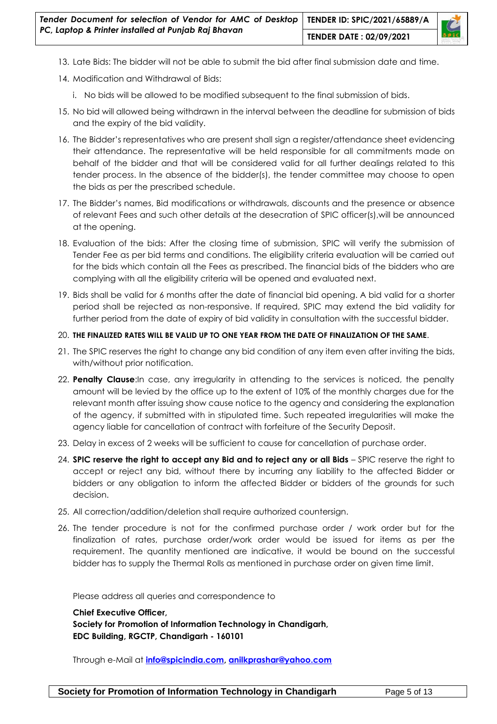

- 13. Late Bids: The bidder will not be able to submit the bid after final submission date and time.
- 14. Modification and Withdrawal of Bids:
	- i. No bids will be allowed to be modified subsequent to the final submission of bids.
- 15. No bid will allowed being withdrawn in the interval between the deadline for submission of bids and the expiry of the bid validity.
- 16. The Bidder"s representatives who are present shall sign a register/attendance sheet evidencing their attendance. The representative will be held responsible for all commitments made on behalf of the bidder and that will be considered valid for all further dealings related to this tender process. In the absence of the bidder(s), the tender committee may choose to open the bids as per the prescribed schedule.
- 17. The Bidder"s names, Bid modifications or withdrawals, discounts and the presence or absence of relevant Fees and such other details at the desecration of SPIC officer(s),will be announced at the opening.
- 18. Evaluation of the bids: After the closing time of submission, SPIC will verify the submission of Tender Fee as per bid terms and conditions. The eligibility criteria evaluation will be carried out for the bids which contain all the Fees as prescribed. The financial bids of the bidders who are complying with all the eligibility criteria will be opened and evaluated next.
- 19. Bids shall be valid for 6 months after the date of financial bid opening. A bid valid for a shorter period shall be rejected as non-responsive. If required, SPIC may extend the bid validity for further period from the date of expiry of bid validity in consultation with the successful bidder.

#### 20. **THE FINALIZED RATES WILL BE VALID UP TO ONE YEAR FROM THE DATE OF FINALIZATION OF THE SAME**.

- 21. The SPIC reserves the right to change any bid condition of any item even after inviting the bids, with/without prior notification.
- 22. **Penalty Clause**:In case, any irregularity in attending to the services is noticed, the penalty amount will be levied by the office up to the extent of 10% of the monthly charges due for the relevant month after issuing show cause notice to the agency and considering the explanation of the agency, if submitted with in stipulated time. Such repeated irregularities will make the agency liable for cancellation of contract with forfeiture of the Security Deposit.
- 23. Delay in excess of 2 weeks will be sufficient to cause for cancellation of purchase order.
- 24. **SPIC reserve the right to accept any Bid and to reject any or all Bids** SPIC reserve the right to accept or reject any bid, without there by incurring any liability to the affected Bidder or bidders or any obligation to inform the affected Bidder or bidders of the grounds for such decision.
- 25. All correction/addition/deletion shall require authorized countersign.
- 26. The tender procedure is not for the confirmed purchase order / work order but for the finalization of rates, purchase order/work order would be issued for items as per the requirement. The quantity mentioned are indicative, it would be bound on the successful bidder has to supply the Thermal Rolls as mentioned in purchase order on given time limit.

Please address all queries and correspondence to

**Chief Executive Officer,**

**Society for Promotion of Information Technology in Chandigarh, EDC Building, RGCTP, Chandigarh - 160101**

Through e-Mail at **[info@spicindia.com,](mailto:info@spicindia.com) [anilkprashar@yahoo.com](mailto:anilkprashar@yahoo.com)**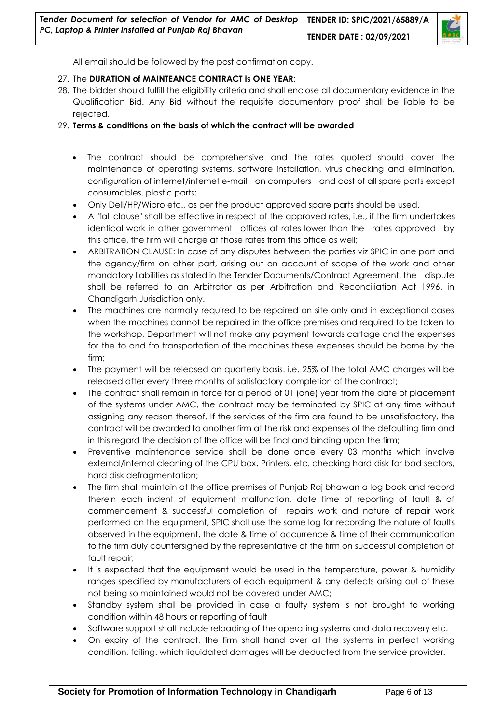

All email should be followed by the post confirmation copy.

#### 27. The **DURATION of MAINTEANCE CONTRACT is ONE YEAR**;

28. The bidder should fulfill the eligibility criteria and shall enclose all documentary evidence in the Qualification Bid. Any Bid without the requisite documentary proof shall be liable to be rejected.

#### 29. **Terms & conditions on the basis of which the contract will be awarded**

- The contract should be comprehensive and the rates quoted should cover the maintenance of operating systems, software installation, virus checking and elimination, configuration of internet/internet e-mail on computers and cost of all spare parts except consumables, plastic parts;
- Only Dell/HP/Wipro etc., as per the product approved spare parts should be used.
- A "fall clause" shall be effective in respect of the approved rates, i.e., if the firm undertakes identical work in other government offices at rates lower than the rates approved by this office, the firm will charge at those rates from this office as well;
- ARBITRATION CLAUSE: In case of any disputes between the parties viz SPIC in one part and the agency/firm on other part, arising out on account of scope of the work and other mandatory liabilities as stated in the Tender Documents/Contract Agreement, the dispute shall be referred to an Arbitrator as per Arbitration and Reconciliation Act 1996, in Chandigarh Jurisdiction only.
- The machines are normally required to be repaired on site only and in exceptional cases when the machines cannot be repaired in the office premises and required to be taken to the workshop, Department will not make any payment towards cartage and the expenses for the to and fro transportation of the machines these expenses should be borne by the firm;
- The payment will be released on quarterly basis. i.e. 25% of the total AMC charges will be released after every three months of satisfactory completion of the contract;
- The contract shall remain in force for a period of 01 (one) year from the date of placement of the systems under AMC, the contract may be terminated by SPIC at any time without assigning any reason thereof. If the services of the firm are found to be unsatisfactory, the contract will be awarded to another firm at the risk and expenses of the defaulting firm and in this regard the decision of the office will be final and binding upon the firm;
- Preventive maintenance service shall be done once every 03 months which involve external/internal cleaning of the CPU box, Printers, etc. checking hard disk for bad sectors, hard disk defragmentation;
- The firm shall maintain at the office premises of Punjab Raj bhawan a log book and record therein each indent of equipment malfunction, date time of reporting of fault & of commencement & successful completion of repairs work and nature of repair work performed on the equipment, SPIC shall use the same log for recording the nature of faults observed in the equipment, the date & time of occurrence & time of their communication to the firm duly countersigned by the representative of the firm on successful completion of fault repair;
- It is expected that the equipment would be used in the temperature, power & humidity ranges specified by manufacturers of each equipment & any defects arising out of these not being so maintained would not be covered under AMC;
- Standby system shall be provided in case a faulty system is not brought to working condition within 48 hours or reporting of fault
- Software support shall include reloading of the operating systems and data recovery etc.
- On expiry of the contract, the firm shall hand over all the systems in perfect working condition, failing. which liquidated damages will be deducted from the service provider.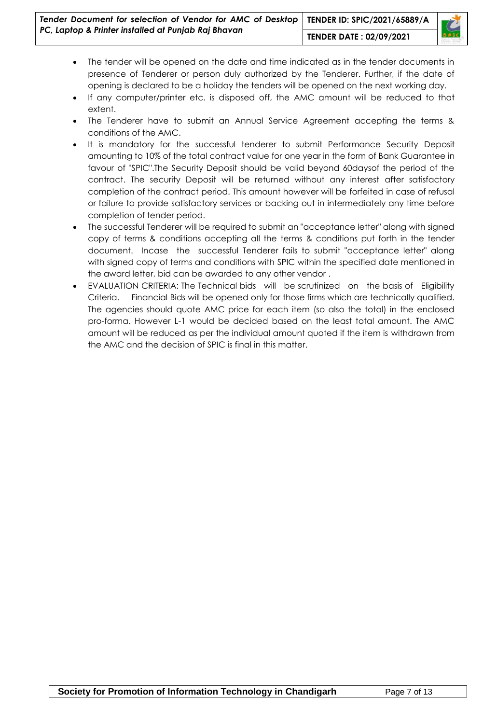

- The tender will be opened on the date and time indicated as in the tender documents in presence of Tenderer or person duly authorized by the Tenderer. Further, if the date of opening is declared to be a holiday the tenders will be opened on the next working day.
- If any computer/printer etc. is disposed off, the AMC amount will be reduced to that extent.
- The Tenderer have to submit an Annual Service Agreement accepting the terms & conditions of the AMC.
- It is mandatory for the successful tenderer to submit Performance Security Deposit amounting to 10% of the total contract value for one year in the form of Bank Guarantee in favour of "SPIC".The Security Deposit should be valid beyond 60daysof the period of the contract. The security Deposit will be returned without any interest after satisfactory completion of the contract period. This amount however will be forfeited in case of refusal or failure to provide satisfactory services or backing out in intermediately any time before completion of tender period.
- The successful Tenderer will be required to submit an "acceptance letter" along with signed copy of terms & conditions accepting all the terms & conditions put forth in the tender document. Incase the successful Tenderer fails to submit "acceptance letter" along with signed copy of terms and conditions with SPIC within the specified date mentioned in the award letter, bid can be awarded to any other vendor .
- EVALUATION CRITERIA: The Technical bids will be scrutinized on the basis of Eligibility Criteria. Financial Bids will be opened only for those firms which are technically qualified. The agencies should quote AMC price for each item (so also the total) in the enclosed pro-forma. However L-1 would be decided based on the least total amount. The AMC amount will be reduced as per the individual amount quoted if the item is withdrawn from the AMC and the decision of SPIC is final in this matter.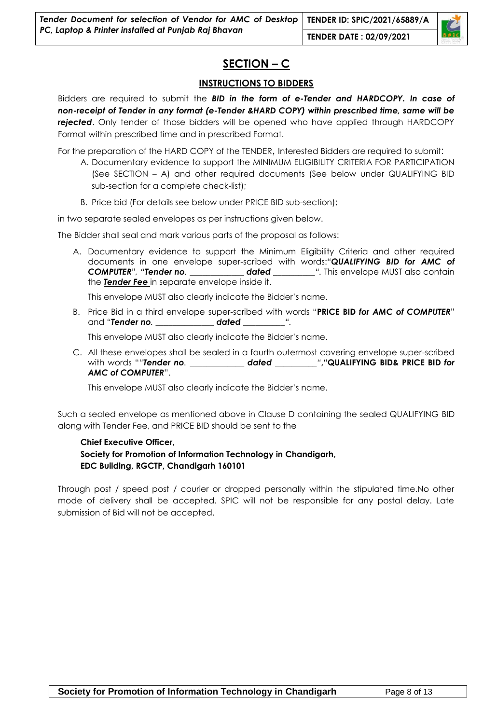

#### **INSTRUCTIONS TO BIDDERS**

Bidders are required to submit the *BID in the form of e-Tender and HARDCOPY. In case of non-receipt of Tender in any format (e-Tender &HARD COPY) within prescribed time, same will be rejected*. Only tender of those bidders will be opened who have applied through HARDCOPY Format within prescribed time and in prescribed Format.

For the preparation of the HARD COPY of the TENDER, Interested Bidders are required to submit:

- A. Documentary evidence to support the MINIMUM ELIGIBILITY CRITERIA FOR PARTICIPATION (See SECTION – A) and other required documents (See below under QUALIFYING BID sub-section for a complete check-list);
- B. Price bid (For details see below under PRICE BID sub-section);

in two separate sealed envelopes as per instructions given below.

The Bidder shall seal and mark various parts of the proposal as follows:

A. Documentary evidence to support the Minimum Eligibility Criteria and other required documents in one envelope super-scribed with words:*"QUALIFYING BID for AMC of COMPUTER", "Tender no. \_\_\_\_\_\_\_\_\_\_\_\_\_ dated \_\_\_\_\_\_\_\_\_\_".* This envelope MUST also contain the *Tender Fee* in separate envelope inside it.

This envelope MUST also clearly indicate the Bidder"s name.

B. Price Bid in a third envelope super-scribed with words "**PRICE BID** *for AMC of COMPUTER*" and *"Tender no. \_\_\_\_\_\_\_\_\_\_\_\_\_\_ dated \_\_\_\_\_\_\_\_\_\_".*

This envelope MUST also clearly indicate the Bidder"s name.

C. All these envelopes shall be sealed in a fourth outermost covering envelope super-scribed with words "*"Tender no. \_\_\_\_\_\_\_\_\_\_\_\_\_ dated \_\_\_\_\_\_\_\_\_\_"***,"QUALIFYING BID& PRICE BID** *for AMC of COMPUTER*".

This envelope MUST also clearly indicate the Bidder"s name.

Such a sealed envelope as mentioned above in Clause D containing the sealed QUALIFYING BID along with Tender Fee, and PRICE BID should be sent to the

## **Chief Executive Officer,**

#### **Society for Promotion of Information Technology in Chandigarh, EDC Building, RGCTP, Chandigarh 160101**

Through post / speed post / courier or dropped personally within the stipulated time.No other mode of delivery shall be accepted. SPIC will not be responsible for any postal delay. Late submission of Bid will not be accepted.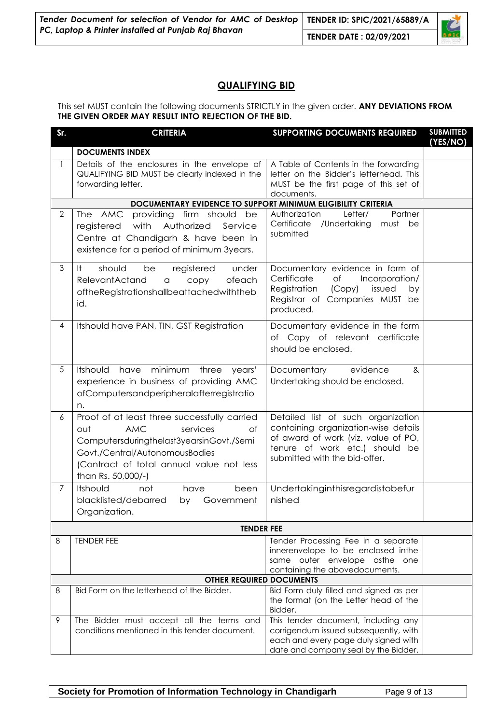| Tender Document for selection of Vendor for AMC of Desktop TENDER ID: SPIC/2021/65889/A<br>PC, Laptop & Printer installed at Punjab Raj Bhavan |  |  |  |
|------------------------------------------------------------------------------------------------------------------------------------------------|--|--|--|
|                                                                                                                                                |  |  |  |

#### **QUALIFYING BID**

This set MUST contain the following documents STRICTLY in the given order. **ANY DEVIATIONS FROM THE GIVEN ORDER MAY RESULT INTO REJECTION OF THE BID.**

| Sr.            | <b>CRITERIA</b>                                                                                                                                                                                                                     | <b>SUPPORTING DOCUMENTS REQUIRED</b>                                                                                                                                                 | <b>SUBMITTED</b><br>(YES/NO) |  |  |  |  |  |  |
|----------------|-------------------------------------------------------------------------------------------------------------------------------------------------------------------------------------------------------------------------------------|--------------------------------------------------------------------------------------------------------------------------------------------------------------------------------------|------------------------------|--|--|--|--|--|--|
|                | <b>DOCUMENTS INDEX</b>                                                                                                                                                                                                              |                                                                                                                                                                                      |                              |  |  |  |  |  |  |
| $\mathbf{1}$   | Details of the enclosures in the envelope of<br>QUALIFYING BID MUST be clearly indexed in the<br>forwarding letter.                                                                                                                 | A Table of Contents in the forwarding<br>letter on the Bidder's letterhead. This<br>MUST be the first page of this set of<br>documents.                                              |                              |  |  |  |  |  |  |
|                | DOCUMENTARY EVIDENCE TO SUPPORT MINIMUM ELIGIBILITY CRITERIA                                                                                                                                                                        |                                                                                                                                                                                      |                              |  |  |  |  |  |  |
| $\overline{2}$ | The AMC<br>providing firm should<br>be<br>with<br>Authorized<br>registered<br>Service<br>Centre at Chandigarh & have been in<br>existence for a period of minimum 3years.                                                           | Partner<br>Authorization<br>Letter/<br>Certificate /Undertaking<br>must<br>be<br>submitted                                                                                           |                              |  |  |  |  |  |  |
| 3              | should<br>It.<br>be<br>registered<br>under<br>RelevantActand<br>ofeach<br>copy<br>$\hbox{\tt C}$<br>oftheRegistrationshallbeattachedwiththeb<br>id.                                                                                 | Documentary evidence in form of<br>Certificate<br>Incorporation/<br>Оf<br>Registration<br>(Copy)<br>issued<br>by<br>Registrar of Companies MUST be<br>produced.                      |                              |  |  |  |  |  |  |
| 4              | Itshould have PAN, TIN, GST Registration                                                                                                                                                                                            | Documentary evidence in the form<br>of Copy of relevant certificate<br>should be enclosed.                                                                                           |                              |  |  |  |  |  |  |
| 5              | Itshould<br>have minimum<br>three<br>years'<br>experience in business of providing AMC<br>ofComputersandperipheralafterregistratio<br>n.                                                                                            | Documentary<br>evidence<br>&<br>Undertaking should be enclosed.                                                                                                                      |                              |  |  |  |  |  |  |
| 6              | Proof of at least three successfully carried<br>out<br><b>AMC</b><br>of<br>services<br>Computersduringthelast3yearsinGovt./Semi<br>Govt./Central/AutonomousBodies<br>(Contract of total annual value not less<br>than Rs. 50,000/-) | Detailed list of such organization<br>containing organization-wise details<br>of award of work (viz. value of PO,<br>tenure of work etc.) should be<br>submitted with the bid-offer. |                              |  |  |  |  |  |  |
| 7              | Itshould<br>not<br>have<br>been<br>blacklisted/debarred by Government<br>Organization.                                                                                                                                              | Undertakinginthisregardistobefur<br>nished                                                                                                                                           |                              |  |  |  |  |  |  |
|                | <b>TENDER FEE</b>                                                                                                                                                                                                                   |                                                                                                                                                                                      |                              |  |  |  |  |  |  |
| 8              | <b>TENDER FEE</b>                                                                                                                                                                                                                   | Tender Processing Fee in a separate<br>innerenvelope to be enclosed inthe<br>same outer envelope asthe one<br>containing the abovedocuments.                                         |                              |  |  |  |  |  |  |
|                | <b>OTHER REQUIRED DOCUMENTS</b>                                                                                                                                                                                                     |                                                                                                                                                                                      |                              |  |  |  |  |  |  |
| 8              | Bid Form on the letterhead of the Bidder.                                                                                                                                                                                           | Bid Form duly filled and signed as per<br>the format (on the Letter head of the<br>Bidder.                                                                                           |                              |  |  |  |  |  |  |
| 9              | The Bidder must accept all the terms and<br>conditions mentioned in this tender document.                                                                                                                                           | This tender document, including any<br>corrigendum issued subsequently, with<br>each and every page duly signed with<br>date and company seal by the Bidder.                         |                              |  |  |  |  |  |  |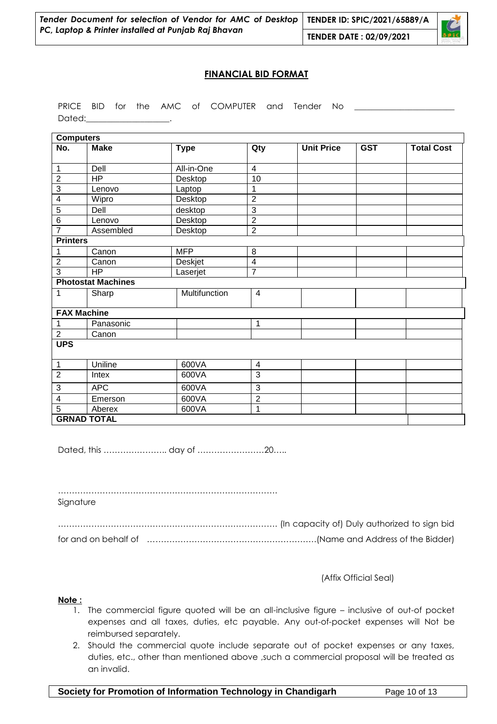

#### **FINANCIAL BID FORMAT**

|        |  |  | PRICE BID for the AMC of COMPUTER and Tender No |  |  |
|--------|--|--|-------------------------------------------------|--|--|
| Dated: |  |  |                                                 |  |  |

| <b>Computers</b>        |                           |                |                         |                   |            |                   |
|-------------------------|---------------------------|----------------|-------------------------|-------------------|------------|-------------------|
| No.                     | <b>Make</b>               | <b>Type</b>    | Qty                     | <b>Unit Price</b> | <b>GST</b> | <b>Total Cost</b> |
| $\mathbf{1}$            | Dell                      | All-in-One     | $\overline{4}$          |                   |            |                   |
| $\overline{2}$          | <b>HP</b>                 | Desktop        | 10                      |                   |            |                   |
| $\overline{3}$          | Lenovo                    | Laptop         | $\mathbf{1}$            |                   |            |                   |
| $\overline{\mathbf{4}}$ | Wipro                     | Desktop        | $\overline{2}$          |                   |            |                   |
| 5                       | Dell                      | desktop        | 3                       |                   |            |                   |
| $\,6$                   | Lenovo                    | Desktop        | $\overline{2}$          |                   |            |                   |
| $\overline{7}$          | Assembled                 | Desktop        | $\overline{2}$          |                   |            |                   |
| <b>Printers</b>         |                           |                |                         |                   |            |                   |
| 1                       | Canon                     | <b>MFP</b>     | 8                       |                   |            |                   |
| $\overline{2}$          | Canon                     | Deskjet        | 4                       |                   |            |                   |
| $\overline{3}$          | <b>HP</b>                 | $\overline{7}$ |                         |                   |            |                   |
|                         | <b>Photostat Machines</b> |                |                         |                   |            |                   |
| $\mathbf{1}$            | Sharp                     | Multifunction  | $\overline{\mathbf{4}}$ |                   |            |                   |
|                         | <b>FAX Machine</b>        |                |                         |                   |            |                   |
| $\mathbf 1$             | Panasonic                 |                | 1                       |                   |            |                   |
| $\overline{2}$          | Canon                     |                |                         |                   |            |                   |
| <b>UPS</b>              |                           |                |                         |                   |            |                   |
| $\mathbf 1$             | Uniline                   | 600VA          | 4                       |                   |            |                   |
| $\overline{2}$          | 600VA<br>Intex            |                | 3                       |                   |            |                   |
| 3                       | <b>APC</b>                | 600VA          | 3                       |                   |            |                   |
| 4                       | Emerson                   | 600VA          | $\overline{2}$          |                   |            |                   |
| 5                       | Aberex                    | 600VA          | 1                       |                   |            |                   |
|                         | <b>GRNAD TOTAL</b>        |                |                         |                   |            |                   |

Dated, this ………………….. day of ……………………20…..

……………………………………………………………………. Signature

……………………………………………………………………. (In capacity of) Duly authorized to sign bid for and on behalf of …………………………………………………….(Name and Address of the Bidder)

(Affix Official Seal)

#### **Note :**

- 1. The commercial figure quoted will be an all-inclusive figure inclusive of out-of pocket expenses and all taxes, duties, etc payable. Any out-of-pocket expenses will Not be reimbursed separately.
- 2. Should the commercial quote include separate out of pocket expenses or any taxes, duties, etc., other than mentioned above ,such a commercial proposal will be treated as an invalid.

**Society for Promotion of Information Technology in Chandigarh Page 10 of 13**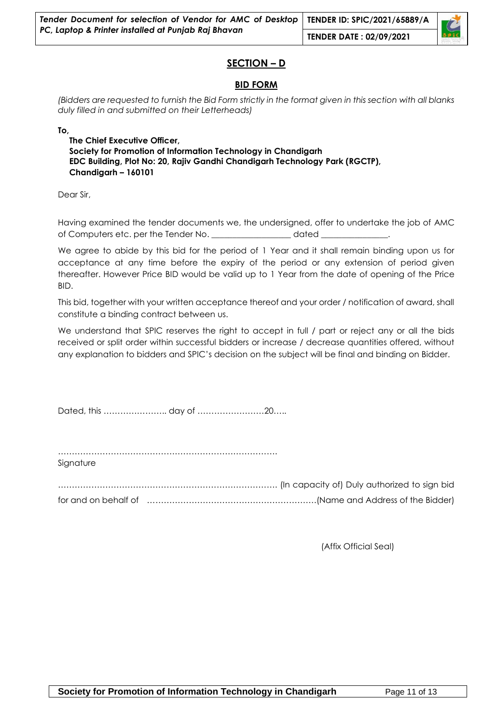#### **SECTION – D**

#### **BID FORM**

*(Bidders are requested to furnish the Bid Form strictly in the format given in this section with all blanks duly filled in and submitted on their Letterheads)* 

**To,**

**The Chief Executive Officer, Society for Promotion of Information Technology in Chandigarh EDC Building, Plot No: 20, Rajiv Gandhi Chandigarh Technology Park (RGCTP), Chandigarh – 160101**

Dear Sir,

Having examined the tender documents we, the undersigned, offer to undertake the job of AMC of Computers etc. per the Tender No. \_\_\_\_\_\_\_\_\_\_\_\_\_\_\_\_\_\_\_ dated \_\_\_\_\_\_\_\_\_\_\_\_\_\_\_\_.

We agree to abide by this bid for the period of 1 Year and it shall remain binding upon us for acceptance at any time before the expiry of the period or any extension of period given thereafter. However Price BID would be valid up to 1 Year from the date of opening of the Price BID.

This bid, together with your written acceptance thereof and your order / notification of award, shall constitute a binding contract between us.

We understand that SPIC reserves the right to accept in full / part or reject any or all the bids received or split order within successful bidders or increase / decrease quantities offered, without any explanation to bidders and SPIC"s decision on the subject will be final and binding on Bidder.

Dated, this ………………….. day of ……………………20…..

……………………………………………………………………. Signature

……………………………………………………………………. (In capacity of) Duly authorized to sign bid for and on behalf of …………………………………………………….(Name and Address of the Bidder)

(Affix Official Seal)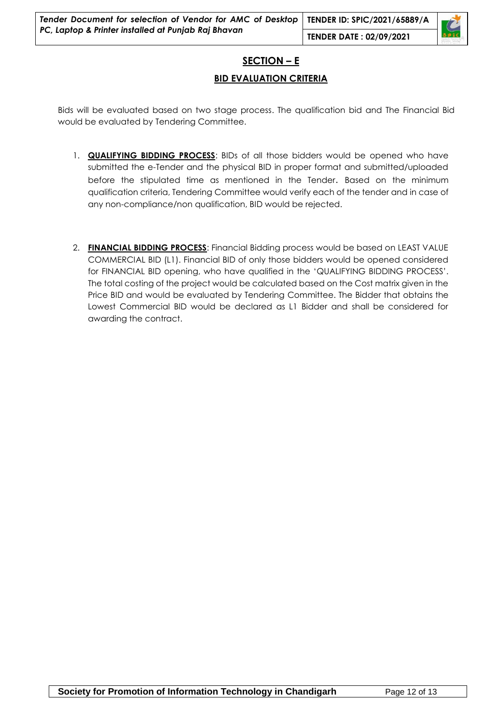#### **SECTION – E**

#### **BID EVALUATION CRITERIA**

Bids will be evaluated based on two stage process. The qualification bid and The Financial Bid would be evaluated by Tendering Committee.

- 1. **QUALIFYING BIDDING PROCESS**: BIDs of all those bidders would be opened who have submitted the e-Tender and the physical BID in proper format and submitted/uploaded before the stipulated time as mentioned in the Tender. Based on the minimum qualification criteria, Tendering Committee would verify each of the tender and in case of any non-compliance/non qualification, BID would be rejected.
- 2. **FINANCIAL BIDDING PROCESS**: Financial Bidding process would be based on LEAST VALUE COMMERCIAL BID (L1). Financial BID of only those bidders would be opened considered for FINANCIAL BID opening, who have qualified in the "QUALIFYING BIDDING PROCESS". The total costing of the project would be calculated based on the Cost matrix given in the Price BID and would be evaluated by Tendering Committee. The Bidder that obtains the Lowest Commercial BID would be declared as L1 Bidder and shall be considered for awarding the contract.